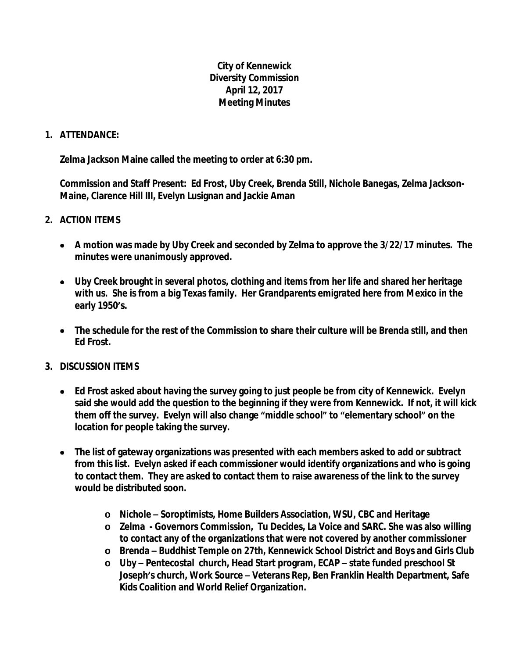## **City of Kennewick Diversity Commission April 12, 2017 Meeting Minutes**

## **1. ATTENDANCE:**

**Zelma Jackson Maine called the meeting to order at 6:30 pm.**

**Commission and Staff Present: Ed Frost, Uby Creek, Brenda Still, Nichole Banegas, Zelma Jackson-Maine, Clarence Hill III, Evelyn Lusignan and Jackie Aman**

## **2. ACTION ITEMS**

- **A motion was made by Uby Creek and seconded by Zelma to approve the 3/22/17 minutes. The minutes were unanimously approved.**
- **Uby Creek brought in several photos, clothing and items from her life and shared her heritage with us. She is from a big Texas family. Her Grandparents emigrated here from Mexico in the early 1950's.**
- **The schedule for the rest of the Commission to share their culture will be Brenda still, and then Ed Frost.**

## **3. DISCUSSION ITEMS**

- **Ed Frost asked about having the survey going to just people be from city of Kennewick. Evelyn said she would add the question to the beginning if they were from Kennewick. If not, it will kick them off the survey. Evelyn will also change "middle school" to "elementary school" on the location for people taking the survey.**
- **The list of gateway organizations was presented with each members asked to add or subtract from this list. Evelyn asked if each commissioner would identify organizations and who is going to contact them. They are asked to contact them to raise awareness of the link to the survey would be distributed soon.**
	- **o Nichole – Soroptimists, Home Builders Association, WSU, CBC and Heritage**
	- **o Zelma Governors Commission, Tu Decides, La Voice and SARC. She was also willing to contact any of the organizations that were not covered by another commissioner**
	- **o Brenda – Buddhist Temple on 27th, Kennewick School District and Boys and Girls Club**
	- **o Uby – Pentecostal church, Head Start program, ECAP – state funded preschool St Joseph's church, Work Source – Veterans Rep, Ben Franklin Health Department, Safe Kids Coalition and World Relief Organization.**